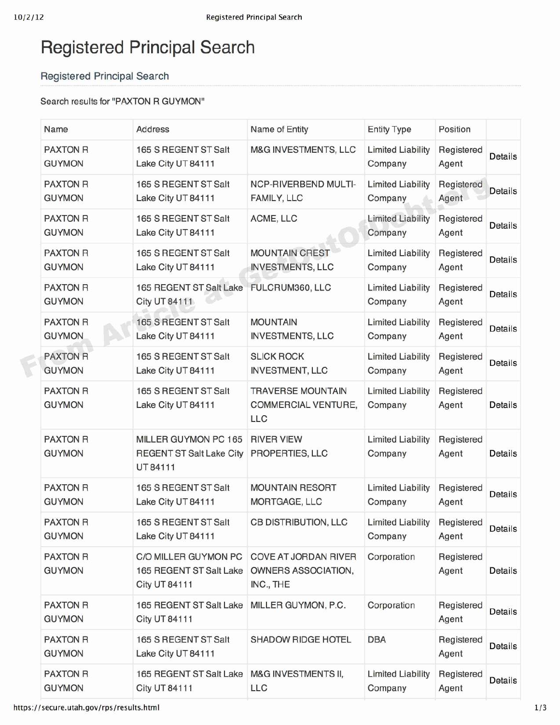¢

## Registered Principal Search

## Registered Principal Search

## Search results for "PAXTON R GUYMON"

| Name                             | <b>Address</b>                                                          | Name of Entity                                           | <b>Entity Type</b>                  | Position            |                |
|----------------------------------|-------------------------------------------------------------------------|----------------------------------------------------------|-------------------------------------|---------------------|----------------|
| <b>PAXTON R</b><br><b>GUYMON</b> | 165 S REGENT ST Salt<br>Lake City UT 84111                              | M&G INVESTMENTS, LLC                                     | <b>Limited Liability</b><br>Company | Registered<br>Agent | Details        |
| <b>PAXTON R</b><br><b>GUYMON</b> | 165 S REGENT ST Salt<br>Lake City UT 84111                              | <b>NCP-RIVERBEND MULTI-</b><br>FAMILY, LLC               | <b>Limited Liability</b><br>Company | Registered<br>Agent | Details        |
| <b>PAXTON R</b><br><b>GUYMON</b> | 165 S REGENT ST Salt<br>Lake City UT 84111                              | ACME, LLC                                                | <b>Limited Liability</b><br>Company | Registered<br>Agent | Details        |
| <b>PAXTON R</b><br><b>GUYMON</b> | 165 S REGENT ST Salt<br>Lake City UT 84111                              | <b>MOUNTAIN CREST</b><br><b>INVESTMENTS, LLC</b>         | <b>Limited Liability</b><br>Company | Registered<br>Agent | Details        |
| <b>PAXTON R</b><br><b>GUYMON</b> | 165 REGENT ST Salt Lake<br><b>City UT 84111</b>                         | FULCRUM360, LLC                                          | <b>Limited Liability</b><br>Company | Registered<br>Agent | <b>Details</b> |
| <b>PAXTON R</b><br><b>GUYMON</b> | 165 S REGENT ST Salt<br>Lake City UT 84111                              | <b>MOUNTAIN</b><br><b>INVESTMENTS, LLC</b>               | <b>Limited Liability</b><br>Company | Registered<br>Agent | <b>Details</b> |
| <b>PAXTON R</b><br><b>GUYMON</b> | 165 S REGENT ST Salt<br>Lake City UT 84111                              | <b>SLICK ROCK</b><br><b>INVESTMENT, LLC</b>              | <b>Limited Liability</b><br>Company | Registered<br>Agent | <b>Details</b> |
| <b>PAXTON R</b><br><b>GUYMON</b> | 165 S REGENT ST Salt<br>Lake City UT 84111                              | <b>TRAVERSE MOUNTAIN</b><br>COMMERCIAL VENTURE,<br>LLC   | <b>Limited Liability</b><br>Company | Registered<br>Agent | Details        |
| <b>PAXTON R</b><br><b>GUYMON</b> | MILLER GUYMON PC 165<br><b>REGENT ST Salt Lake City</b><br>UT 84111     | <b>RIVER VIEW</b><br>PROPERTIES, LLC                     | <b>Limited Liability</b><br>Company | Registered<br>Agent | Details        |
| <b>PAXTON R</b><br><b>GUYMON</b> | 165 S REGENT ST Salt<br>Lake City UT 84111                              | <b>MOUNTAIN RESORT</b><br>MORTGAGE, LLC                  | <b>Limited Liability</b><br>Company | Registered<br>Agent | <b>Details</b> |
| <b>PAXTON R</b><br><b>GUYMON</b> | 165 S REGENT ST Salt<br>Lake City UT 84111                              | <b>CB DISTRIBUTION, LLC</b>                              | <b>Limited Liability</b><br>Company | Registered<br>Agent | Details        |
| <b>PAXTON R</b><br><b>GUYMON</b> | C/O MILLER GUYMON PC<br>165 REGENT ST Salt Lake<br><b>City UT 84111</b> | COVE AT JORDAN RIVER<br>OWNERS ASSOCIATION,<br>INC., THE | Corporation                         | Registered<br>Agent | Details        |
| <b>PAXTON R</b><br><b>GUYMON</b> | 165 REGENT ST Salt Lake<br><b>City UT 84111</b>                         | MILLER GUYMON, P.C.                                      | Corporation                         | Registered<br>Agent | Details        |
| <b>PAXTON R</b><br><b>GUYMON</b> | 165 S REGENT ST Salt<br>Lake City UT 84111                              | SHADOW RIDGE HOTEL                                       | <b>DBA</b>                          | Registered<br>Agent | <b>Details</b> |
| <b>PAXTON R</b><br><b>GUYMON</b> | 165 REGENT ST Salt Lake<br><b>City UT 84111</b>                         | M&G INVESTMENTS II,<br>LLC                               | <b>Limited Liability</b><br>Company | Registered<br>Agent | Details        |

https://secure. utah.gov/rps/results. html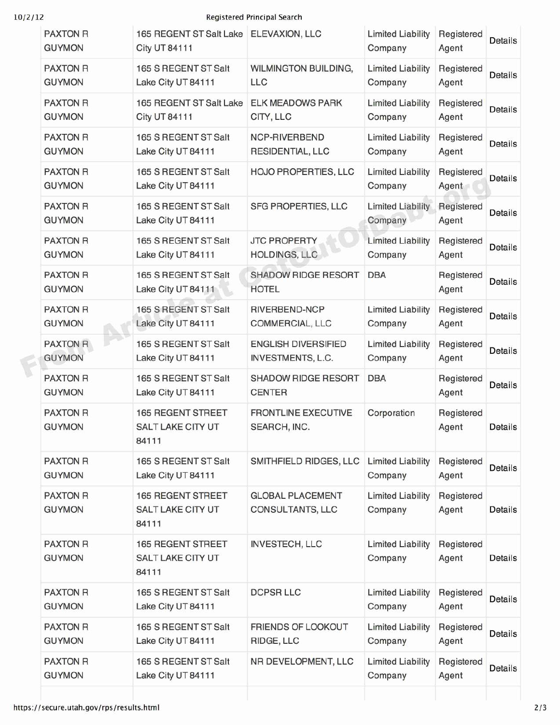¢

## 10/2/12 Registered Principal Search

| <b>PAXTON R</b><br><b>GUYMON</b> | 165 REGENT ST Salt Lake<br><b>City UT 84111</b>               | ELEVAXION, LLC                                  | <b>Limited Liability</b><br>Company | Registered<br>Agent | Details        |
|----------------------------------|---------------------------------------------------------------|-------------------------------------------------|-------------------------------------|---------------------|----------------|
| <b>PAXTON R</b><br><b>GUYMON</b> | 165 S REGENT ST Salt<br>Lake City UT 84111                    | WILMINGTON BUILDING,<br><b>LLC</b>              | <b>Limited Liability</b><br>Company | Registered<br>Agent | Details        |
| <b>PAXTON R</b><br><b>GUYMON</b> | 165 REGENT ST Salt Lake<br><b>City UT 84111</b>               | <b>ELK MEADOWS PARK</b><br>CITY, LLC            | <b>Limited Liability</b><br>Company | Registered<br>Agent | Details        |
| <b>PAXTON R</b><br><b>GUYMON</b> | 165 S REGENT ST Salt<br>Lake City UT 84111                    | NCP-RIVERBEND<br>RESIDENTIAL, LLC               | <b>Limited Liability</b><br>Company | Registered<br>Agent | Details        |
| <b>PAXTON R</b><br><b>GUYMON</b> | 165 S REGENT ST Salt<br>Lake City UT 84111                    | HOJO PROPERTIES, LLC                            | <b>Limited Liability</b><br>Company | Registered<br>Agent | Details        |
| <b>PAXTON R</b><br><b>GUYMON</b> | 165 S REGENT ST Salt<br>Lake City UT 84111                    | SFG PROPERTIES, LLC                             | <b>Limited Liability</b><br>Company | Registered<br>Agent | Details        |
| <b>PAXTON R</b><br><b>GUYMON</b> | 165 S REGENT ST Salt<br>Lake City UT 84111                    | <b>JTC PROPERTY</b><br><b>HOLDINGS, LLC</b>     | <b>Limited Liability</b><br>Company | Registered<br>Agent | <b>Details</b> |
| <b>PAXTON R</b><br><b>GUYMON</b> | 165 S REGENT ST Salt<br>Lake City UT 84111                    | <b>SHADOW RIDGE RESORT</b><br><b>HOTEL</b>      | <b>DBA</b>                          | Registered<br>Agent | Details        |
| <b>PAXTON R</b><br><b>GUYMON</b> | 165 S REGENT ST Salt<br>Lake City UT 84111                    | RIVERBEND-NCP<br>COMMERCIAL, LLC                | <b>Limited Liability</b><br>Company | Registered<br>Agent | Details        |
| <b>PAXTON R</b><br><b>GUYMON</b> | 165 S REGENT ST Salt<br>Lake City UT 84111                    | <b>ENGLISH DIVERSIFIED</b><br>INVESTMENTS, L.C. | <b>Limited Liability</b><br>Company | Registered<br>Agent | <b>Details</b> |
| <b>PAXTON R</b><br><b>GUYMON</b> | 165 S REGENT ST Salt<br>Lake City UT 84111                    | <b>SHADOW RIDGE RESORT</b><br><b>CENTER</b>     | <b>DBA</b>                          | Registered<br>Agent | <b>Details</b> |
| <b>PAXTON R</b><br><b>GUYMON</b> | <b>165 REGENT STREET</b><br>SALT LAKE CITY UT<br>84111        | <b>FRONTLINE EXECUTIVE</b><br>SEARCH, INC.      | Corporation                         | Registered<br>Agent | Details        |
| <b>PAXTON R</b><br><b>GUYMON</b> | 165 S REGENT ST Salt<br>Lake City UT 84111                    | SMITHFIELD RIDGES, LLC                          | <b>Limited Liability</b><br>Company | Registered<br>Agent | <b>Details</b> |
| <b>PAXTON R</b><br><b>GUYMON</b> | <b>165 REGENT STREET</b><br>SALT LAKE CITY UT<br>84111        | <b>GLOBAL PLACEMENT</b><br>CONSULTANTS, LLC     | <b>Limited Liability</b><br>Company | Registered<br>Agent | <b>Details</b> |
| <b>PAXTON R</b><br><b>GUYMON</b> | <b>165 REGENT STREET</b><br><b>SALT LAKE CITY UT</b><br>84111 | <b>INVESTECH, LLC</b>                           | <b>Limited Liability</b><br>Company | Registered<br>Agent | Details        |
| <b>PAXTON R</b><br><b>GUYMON</b> | 165 S REGENT ST Salt<br>Lake City UT 84111                    | <b>DCPSR LLC</b>                                | <b>Limited Liability</b><br>Company | Registered<br>Agent | Details        |
| <b>PAXTON R</b><br><b>GUYMON</b> | 165 S REGENT ST Salt<br>Lake City UT 84111                    | FRIENDS OF LOOKOUT<br>RIDGE, LLC                | <b>Limited Liability</b><br>Company | Registered<br>Agent | Details        |
| <b>PAXTON R</b><br><b>GUYMON</b> | 165 S REGENT ST Salt<br>Lake City UT 84111                    | NR DEVELOPMENT, LLC                             | <b>Limited Liability</b><br>Company | Registered<br>Agent | Details        |
|                                  |                                                               |                                                 |                                     |                     |                |